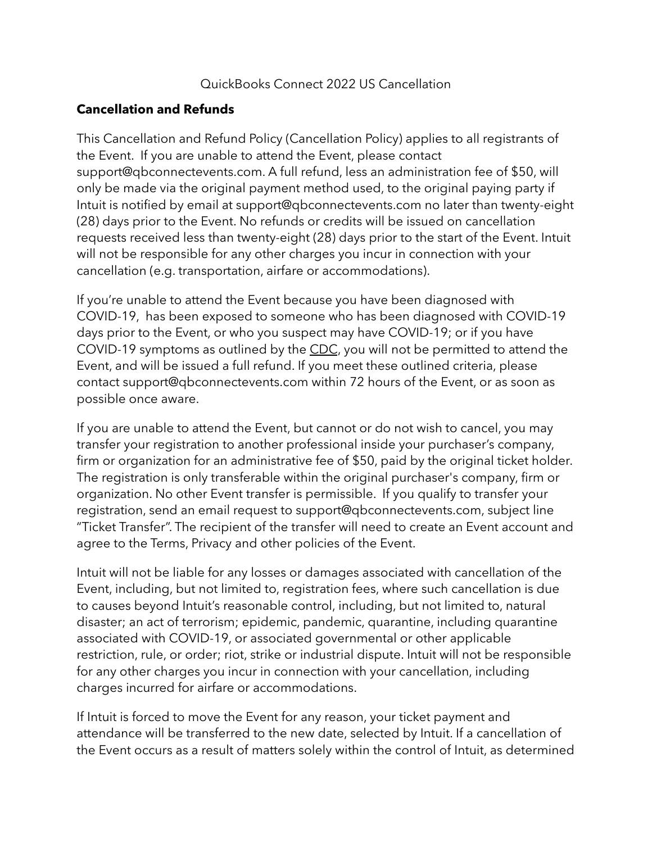## QuickBooks Connect 2022 US Cancellation

## **Cancellation and Refunds**

This Cancellation and Refund Policy (Cancellation Policy) applies to all registrants of the Event. If you are unable to attend the Event, please contact support@qbconnectevents.com. A full refund, less an administration fee of \$50, will only be made via the original payment method used, to the original paying party if Intuit is notified by email at support@qbconnectevents.com no later than twenty-eight (28) days prior to the Event. No refunds or credits will be issued on cancellation requests received less than twenty-eight (28) days prior to the start of the Event. Intuit will not be responsible for any other charges you incur in connection with your cancellation (e.g. transportation, airfare or accommodations).

If you're unable to attend the Event because you have been diagnosed with COVID-19, has been exposed to someone who has been diagnosed with COVID-19 days prior to the Event, or who you suspect may have COVID-19; or if you have COVID-19 symptoms as outlined by the [CDC](https://www.cdc.gov/coronavirus/2019-ncov/your-health/index.html), you will not be permitted to attend the Event, and will be issued a full refund. If you meet these outlined criteria, please contact support@qbconnectevents.com within 72 hours of the Event, or as soon as possible once aware.

If you are unable to attend the Event, but cannot or do not wish to cancel, you may transfer your registration to another professional inside your purchaser's company, firm or organization for an administrative fee of \$50, paid by the original ticket holder. The registration is only transferable within the original purchaser's company, firm or organization. No other Event transfer is permissible. If you qualify to transfer your registration, send an email request to support@qbconnectevents.com, subject line "Ticket Transfer". The recipient of the transfer will need to create an Event account and agree to the Terms, Privacy and other policies of the Event.

Intuit will not be liable for any losses or damages associated with cancellation of the Event, including, but not limited to, registration fees, where such cancellation is due to causes beyond Intuit's reasonable control, including, but not limited to, natural disaster; an act of terrorism; epidemic, pandemic, quarantine, including quarantine associated with COVID-19, or associated governmental or other applicable restriction, rule, or order; riot, strike or industrial dispute. Intuit will not be responsible for any other charges you incur in connection with your cancellation, including charges incurred for airfare or accommodations.

If Intuit is forced to move the Event for any reason, your ticket payment and attendance will be transferred to the new date, selected by Intuit. If a cancellation of the Event occurs as a result of matters solely within the control of Intuit, as determined